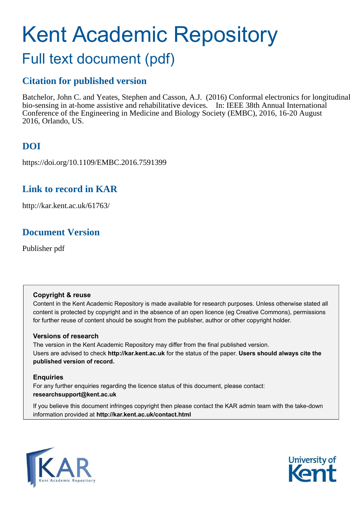# Kent Academic Repository Full text document (pdf)

## **Citation for published version**

Batchelor, John C. and Yeates, Stephen and Casson, A.J. (2016) Conformal electronics for longitudinal bio-sensing in at-home assistive and rehabilitative devices. In: IEEE 38th Annual International Conference of the Engineering in Medicine and Biology Society (EMBC), 2016, 16-20 August 2016, Orlando, US.

## **DOI**

https://doi.org/10.1109/EMBC.2016.7591399

## **Link to record in KAR**

http://kar.kent.ac.uk/61763/

## **Document Version**

Publisher pdf

#### **Copyright & reuse**

Content in the Kent Academic Repository is made available for research purposes. Unless otherwise stated all content is protected by copyright and in the absence of an open licence (eg Creative Commons), permissions for further reuse of content should be sought from the publisher, author or other copyright holder.

#### **Versions of research**

The version in the Kent Academic Repository may differ from the final published version. Users are advised to check **http://kar.kent.ac.uk** for the status of the paper. **Users should always cite the published version of record.**

#### **Enquiries**

For any further enquiries regarding the licence status of this document, please contact: **researchsupport@kent.ac.uk**

If you believe this document infringes copyright then please contact the KAR admin team with the take-down information provided at **http://kar.kent.ac.uk/contact.html**



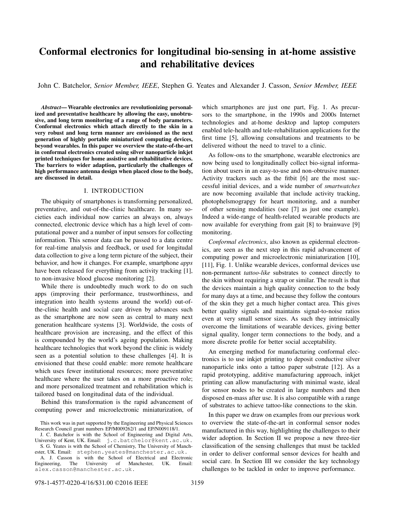### Conformal electronics for longitudinal bio-sensing in at-home assistive and rehabilitative devices

John C. Batchelor, *Senior Member, IEEE*, Stephen G. Yeates and Alexander J. Casson, *Senior Member, IEEE*

*Abstract*— Wearable electronics are revolutionizing personalized and preventative healthcare by allowing the easy, unobtrusive, and long term monitoring of a range of body parameters. Conformal electronics which attach directly to the skin in a very robust and long term manner are envisioned as the next generation of highly portable miniaturized computing devices, beyond wearables. In this paper we overview the state-of-the-art in conformal electronics created using silver nanoparticle inkjet printed techniques for home assistive and rehabilitative devices. The barriers to wider adaption, particularly the challenges of high performance antenna design when placed close to the body, are discussed in detail.

#### I. INTRODUCTION

The ubiquity of smartphones is transforming personalized, preventative, and out-of-the-clinic healthcare. In many societies each individual now carries an always on, always connected, electronic device which has a high level of computational power and a number of input sensors for collecting information. This sensor data can be passed to a data centre for real-time analysis and feedback, or used for longitudal data collection to give a long term picture of the subject, their behavior, and how it changes. For example, smartphone *apps* have been released for everything from activity tracking [1], to non-invasive blood glucose monitoring [2].

While there is undoubtedly much work to do on such apps (improving their performance, trustworthiness, and integration into health systems around the world) out-ofthe-clinic health and social care driven by advances such as the smartphone are now seen as central to many next generation healthcare systems [3]. Worldwide, the costs of healthcare provision are increasing, and the effect of this is compounded by the world's ageing population. Making healthcare technologies that work beyond the clinic is widely seen as a potential solution to these challenges [4]. It is envisioned that these could enable: more remote healthcare which uses fewer institutional resources; more preventative healthcare where the user takes on a more proactive role; and more personalized treatment and rehabilitation which is tailored based on longitudinal data of the individual.

Behind this transformation is the rapid advancement of computing power and microelectronic miniaturization, of which smartphones are just one part, Fig. 1. As precursors to the smartphone, in the 1990s and 2000s Internet technologies and at-home desktop and laptop computers enabled tele-health and tele-rehabilitation applications for the first time [5], allowing consultations and treatments to be delivered without the need to travel to a clinic.

As follow-ons to the smartphone, wearable electronics are now being used to longitudinally collect bio-signal information about users in an easy-to-use and non-obtrusive manner. Activity trackers such as the fitbit [6] are the most successful initial devices, and a wide number of *smartwatches* are now becoming available that include activity tracking, photophelsmograpgy for heart monitoring, and a number of other sensing modalities (see [7] as just one example). Indeed a wide-range of health-related wearable products are now available for everything from gait [8] to brainwave [9] monitoring.

*Conformal electronics*, also known as epidermal electronics, are seen as the next step in this rapid advancement of computing power and microelectronic miniaturization [10], [11], Fig. 1. Unlike wearable devices, conformal devices use non-permanent *tattoo-like* substrates to connect directly to the skin without requiring a strap or similar. The result is that the devices maintain a high quality connection to the body for many days at a time, and because they follow the contours of the skin they get a much higher contact area. This gives better quality signals and maintains signal-to-noise ratios even at very small sensor sizes. As such they intrinsically overcome the limitations of wearable devices, giving better signal quality, longer term connections to the body, and a more discrete profile for better social acceptability.

An emerging method for manufacturing conformal electronics is to use inkjet printing to deposit conductive silver nanoparticle inks onto a tattoo paper substrate [12]. As a rapid prototyping, additive manufacturing approach, inkjet printing can allow manufacturing with minimal waste, ideal for sensor nodes to be created in large numbers and then disposed en-mass after use. It is also compatible with a range of substrates to achieve tattoo-like connections to the skin.

In this paper we draw on examples from our previous work to overview the state-of-the-art in conformal sensor nodes manufactured in this way, highlighting the challenges to their wider adoption. In Section II we propose a new three-tier classification of the sensing challenges that must be tackled in order to deliver conformal sensor devices for health and social care. In Section III we consider the key technology challenges to be tackled in order to improve performance.

This work was in part supported by the Engineering and Physical Sciences Research Council grant numbers EP/M009262/1 and EP/N009118/1.

J. C. Batchelor is with the School of Engineering and Digital Arts, University of Kent, UK. Email: j.c.batchelor@kent.ac.uk. S. G. Yeates is with the School of Chemistry, The University of Manchester, UK. Email: stephen.yeates@manchester.ac.uk. A. J. Casson is with the School of Electrical and Electronic<br>princering. The University of Manchester. UK. Email: Engineering, The University of Manchester, alex.casson@manchester.ac.uk.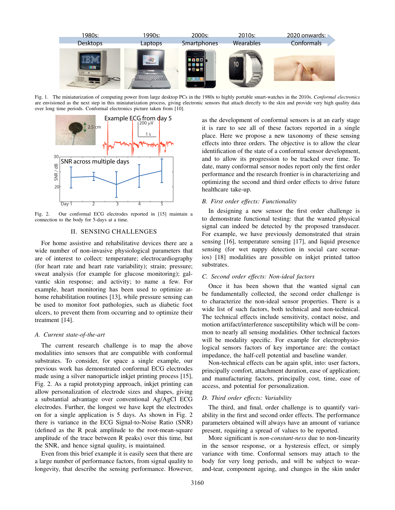

Fig. 1. The miniaturization of computing power from large desktop PCs in the 1980s to highly portable smart-watches in the 2010s. *Conformal electronics* are envisioned as the next step in this miniaturization process, giving electronic sensors that attach directly to the skin and provide very high quality data over long time periods. Conformal electronics picture taken from [10].



Fig. 2. Our conformal ECG electrodes reported in [15] maintain a connection to the body for 5-days at a time.

#### II. SENSING CHALLENGES

For home assistive and rehabilitative devices there are a wide number of non-invasive physiological parameters that are of interest to collect: temperature; electrocardiography (for heart rate and heart rate variability); strain; pressure; sweat analysis (for example for glucose monitoring); galvantic skin response; and activity; to name a few. For example, heart monitoring has been used to optimize athome rehabilitation routines [13], while pressure sensing can be used to monitor foot pathologies, such as diabetic foot ulcers, to prevent them from occurring and to optimize their treatment [14].

#### *A. Current state-of-the-art*

The current research challenge is to map the above modalities into sensors that are compatible with conformal substrates. To consider, for space a single example, our previous work has demonstrated conformal ECG electrodes made using a silver nanoparticle inkjet printing process [15], Fig. 2. As a rapid prototyping approach, inkjet printing can allow personalization of electrode sizes and shapes, giving a substantial advantage over conventional Ag/AgCl ECG electrodes. Further, the longest we have kept the electrodes on for a single application is 5 days. As shown in Fig. 2 there is variance in the ECG Signal-to-Noise Ratio (SNR) (defined as the R peak amplitude to the root-mean-square amplitude of the trace between R peaks) over this time, but the SNR, and hence signal quality, is maintained.

Even from this brief example it is easily seen that there are a large number of performance factors, from signal quality to longevity, that describe the sensing performance. However, as the development of conformal sensors is at an early stage it is rare to see all of these factors reported in a single place. Here we propose a new taxonomy of these sensing effects into three orders. The objective is to allow the clear identification of the state of a conformal sensor development, and to allow its progression to be tracked over time. To date, many conformal sensor nodes report only the first order performance and the research frontier is in characterizing and optimizing the second and third order effects to drive future healthcare take-up.

#### *B. First order effects: Functionality*

In designing a new sensor the first order challenge is to demonstrate functional testing: that the wanted physical signal can indeed be detected by the proposed transducer. For example, we have previously demonstrated that strain sensing [16], temperature sensing [17], and liquid presence sensing (for wet nappy detection in social care scenarios) [18] modalities are possible on inkjet printed tattoo substrates.

#### *C. Second order effects: Non-ideal factors*

Once it has been shown that the wanted signal can be fundamentally collected, the second order challenge is to characterize the non-ideal sensor properties. There is a wide list of such factors, both technical and non-technical. The technical effects include sensitivity, contact noise, and motion artifact/interference susceptibility which will be common to nearly all sensing modalities. Other technical factors will be modality specific. For example for electrophysiological sensors factors of key importance are: the contact impedance, the half-cell potential and baseline wander.

Non-technical effects can be again split, into: user factors, principally comfort, attachment duration, ease of application; and manufacturing factors, principally cost, time, ease of access, and potential for personalization.

#### *D. Third order effects: Variability*

The third, and final, order challenge is to quantify variability in the first and second order effects. The performance parameters obtained will always have an amount of variance present, requiring a spread of values to be reported.

More significant is *non-constant-ness* due to non-linearity in the sensor response, or a hysteresis effect, or simply variance with time. Conformal sensors may attach to the body for very long periods, and will be subject to wearand-tear, component ageing, and changes in the skin under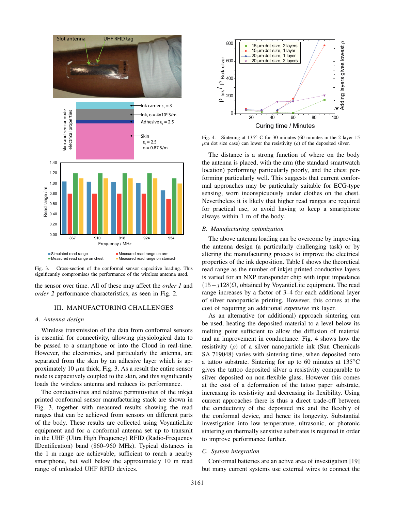

Fig. 3. Cross-section of the conformal sensor capacitive loading. This significantly compromises the performance of the wireless antenna used.

the sensor over time. All of these may affect the *order 1* and *order 2* performance characteristics, as seen in Fig. 2.

#### III. MANUFACTURING CHALLENGES

#### *A. Antenna design*

Wireless transmission of the data from conformal sensors is essential for connectivity, allowing physiological data to be passed to a smartphone or into the Cloud in real-time. However, the electronics, and particularly the antenna, are separated from the skin by an adhesive layer which is approximately 10  $\mu$ m thick, Fig. 3. As a result the entire sensor node is capacitively coupled to the skin, and this significantly loads the wireless antenna and reduces its performance.

The conductivities and relative permittivities of the inkjet printed conformal sensor manufacturing stack are shown in Fig. 3, together with measured results showing the read ranges that can be achieved from sensors on different parts of the body. These results are collected using VoyanticLite equipment and for a conformal antenna set up to transmit in the UHF (Ultra High Frequency) RFID (Radio-Frequency IDentification) band (860–960 MHz). Typical distances in the 1 m range are achievable, sufficient to reach a nearby smartphone, but well below the approximately 10 m read range of unloaded UHF RFID devices.



Fig. 4. Sintering at 135◦ C for 30 minutes (60 minutes in the 2 layer 15  $\mu$ m dot size case) can lower the resistivity  $(\rho)$  of the deposited silver.

The distance is a strong function of where on the body the antenna is placed, with the arm (the standard smartwatch location) performing particularly poorly, and the chest performing particularly well. This suggests that current conformal approaches may be particularly suitable for ECG-type sensing, worn inconspicuously under clothes on the chest. Nevertheless it is likely that higher read ranges are required for practical use, to avoid having to keep a smartphone always within 1 m of the body.

#### *B. Manufacturing optimization*

The above antenna loading can be overcome by improving the antenna design (a particularly challenging task) or by altering the manufacturing process to improve the electrical properties of the ink deposition. Table I shows the theoretical read range as the number of inkjet printed conductive layers is varied for an NXP transponder chip with input impedance  $(15-j128)\Omega$ , obtained by VoyanticLite equipment. The read range increases by a factor of 3–4 for each additional layer of silver nanoparticle printing. However, this comes at the cost of requiring an additional *expensive* ink layer.

As an alternative (or additional) approach sintering can be used, heating the deposited material to a level below its melting point sufficient to allow the diffusion of material and an improvement in conductance. Fig. 4 shows how the resistivity  $(\rho)$  of a silver nanoparticle ink (Sun Chemicals SA 719048) varies with sintering time, when deposited onto a tattoo substrate. Sintering for up to 60 minutes at 135◦C gives the tattoo deposited silver a resistivity comparable to silver deposited on non-flexible glass. However this comes at the cost of a deformation of the tattoo paper substrate, increasing its resistivity and decreasing its flexibility. Using current approaches there is thus a direct trade-off between the conductivity of the deposited ink and the flexibly of the conformal device, and hence its longevity. Substantial investigation into low temperature, ultrasonic, or photonic sintering on thermally sensitive substrates is required in order to improve performance further.

#### *C. System integration*

Conformal batteries are an active area of investigation [19] but many current systems use external wires to connect the